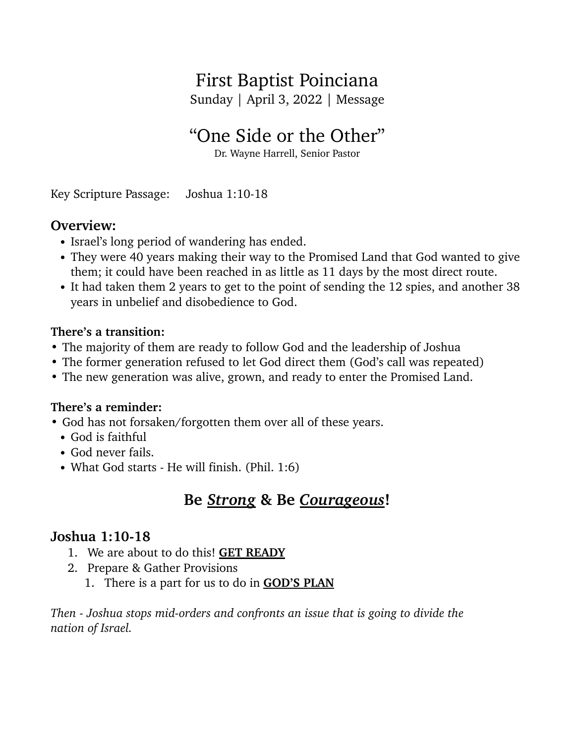# First Baptist Poinciana

Sunday | April 3, 2022 | Message

# "One Side or the Other"

Dr. Wayne Harrell, Senior Pastor

Key Scripture Passage: Joshua 1:10-18

## **Overview:**

- **•** Israel's long period of wandering has ended.
- **•** They were 40 years making their way to the Promised Land that God wanted to give them; it could have been reached in as little as 11 days by the most direct route.
- It had taken them 2 years to get to the point of sending the 12 spies, and another 38 years in unbelief and disobedience to God.

#### **There's a transition:**

- **•** The majority of them are ready to follow God and the leadership of Joshua
- **•** The former generation refused to let God direct them (God's call was repeated)
- **•** The new generation was alive, grown, and ready to enter the Promised Land.

#### **There's a reminder:**

- God has not forsaken/forgotten them over all of these years.
	- God is faithful
	- God never fails.
	- What God starts He will finish. (Phil. 1:6)

# **Be** *Strong* **& Be** *Courageous***!**

### **Joshua 1:10-18**

- 1. We are about to do this! **GET READY**
- 2. Prepare & Gather Provisions
	- 1. There is a part for us to do in **GOD'S PLAN**

*Then - Joshua stops mid-orders and confronts an issue that is going to divide the nation of Israel.*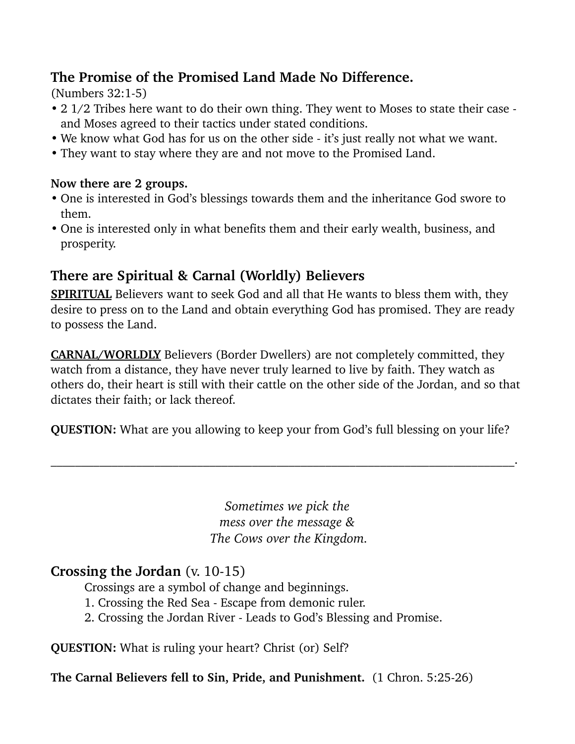# **The Promise of the Promised Land Made No Difference.**

(Numbers 32:1-5)

- 2 1/2 Tribes here want to do their own thing. They went to Moses to state their case and Moses agreed to their tactics under stated conditions.
- We know what God has for us on the other side it's just really not what we want.
- They want to stay where they are and not move to the Promised Land.

#### **Now there are 2 groups.**

- **•** One is interested in God's blessings towards them and the inheritance God swore to them.
- **•** One is interested only in what benefits them and their early wealth, business, and prosperity.

# **There are Spiritual & Carnal (Worldly) Believers**

**SPIRITUAL** Believers want to seek God and all that He wants to bless them with, they desire to press on to the Land and obtain everything God has promised. They are ready to possess the Land.

**CARNAL/WORLDLY** Believers (Border Dwellers) are not completely committed, they watch from a distance, they have never truly learned to live by faith. They watch as others do, their heart is still with their cattle on the other side of the Jordan, and so that dictates their faith; or lack thereof.

**QUESTION:** What are you allowing to keep your from God's full blessing on your life?

 $\mathcal{L}_\mathcal{L} = \mathcal{L}_\mathcal{L} = \mathcal{L}_\mathcal{L} = \mathcal{L}_\mathcal{L} = \mathcal{L}_\mathcal{L} = \mathcal{L}_\mathcal{L} = \mathcal{L}_\mathcal{L} = \mathcal{L}_\mathcal{L} = \mathcal{L}_\mathcal{L} = \mathcal{L}_\mathcal{L} = \mathcal{L}_\mathcal{L} = \mathcal{L}_\mathcal{L} = \mathcal{L}_\mathcal{L} = \mathcal{L}_\mathcal{L} = \mathcal{L}_\mathcal{L} = \mathcal{L}_\mathcal{L} = \mathcal{L}_\mathcal{L}$ 

*Sometimes we pick the mess over the message & The Cows over the Kingdom.*

# **Crossing the Jordan** (v. 10-15)

Crossings are a symbol of change and beginnings.

- 1. Crossing the Red Sea Escape from demonic ruler.
- 2. Crossing the Jordan River Leads to God's Blessing and Promise.

**QUESTION:** What is ruling your heart? Christ (or) Self?

**The Carnal Believers fell to Sin, Pride, and Punishment.** (1 Chron. 5:25-26)